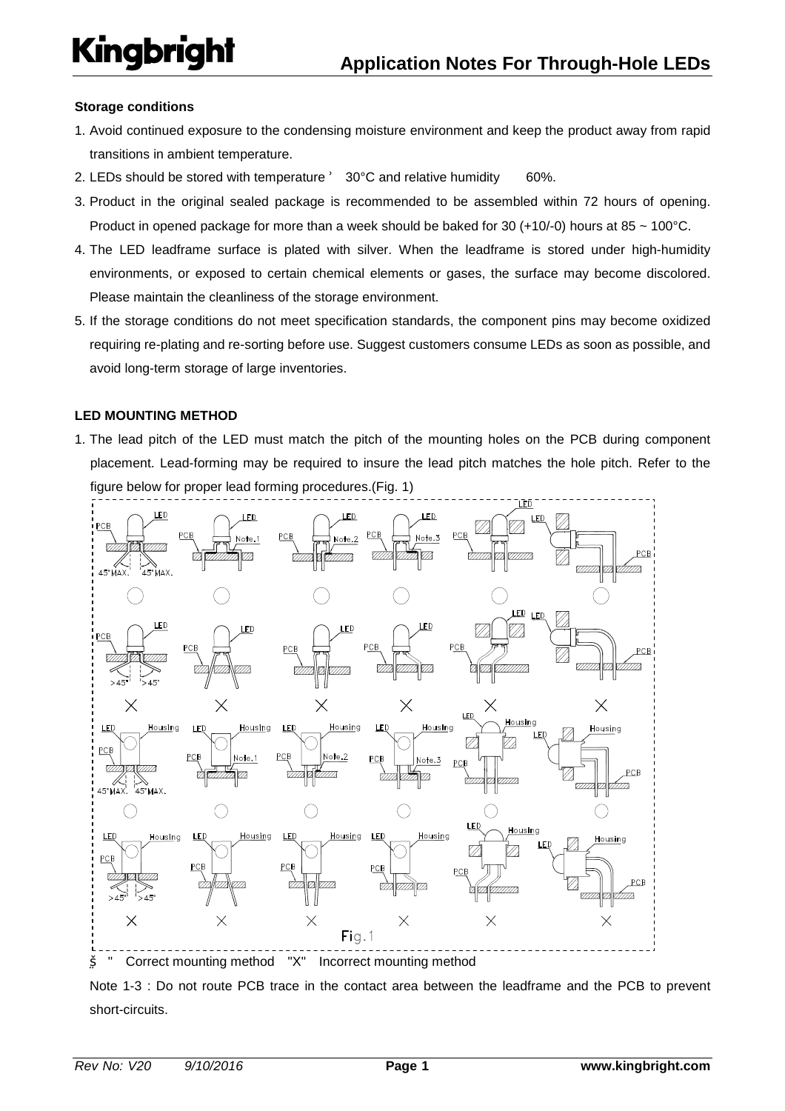### **Storage conditions**

- 1. Avoid continued exposure to the condensing moisture environment and keep the product away from rapid transitions in ambient temperature.
- 2. LEDs should be stored with temperature 30°C and relative humidity 60%.
- 3. Product in the original sealed package is recommended to be assembled within 72 hours of opening. Product in opened package for more than a week should be baked for 30 (+10/-0) hours at 85  $\sim$  100°C.
- 4. The LED leadframe surface is plated with silver. When the leadframe is stored under high-humidity environments, or exposed to certain chemical elements or gases, the surface may become discolored. Please maintain the cleanliness of the storage environment.
- 5. If the storage conditions do not meet specification standards, the component pins may become oxidized requiring re-plating and re-sorting before use. Suggest customers consume LEDs as soon as possible, and avoid long-term storage of large inventories.

### **LED MOUNTING METHOD**

1. The lead pitch of the LED must match the pitch of the mounting holes on the PCB during component placement. Lead-forming may be required to insure the lead pitch matches the hole pitch. Refer to the figure below for proper lead forming procedures.(Fig. 1)



Note 1-3 : Do not route PCB trace in the contact area between the leadframe and the PCB to prevent short-circuits.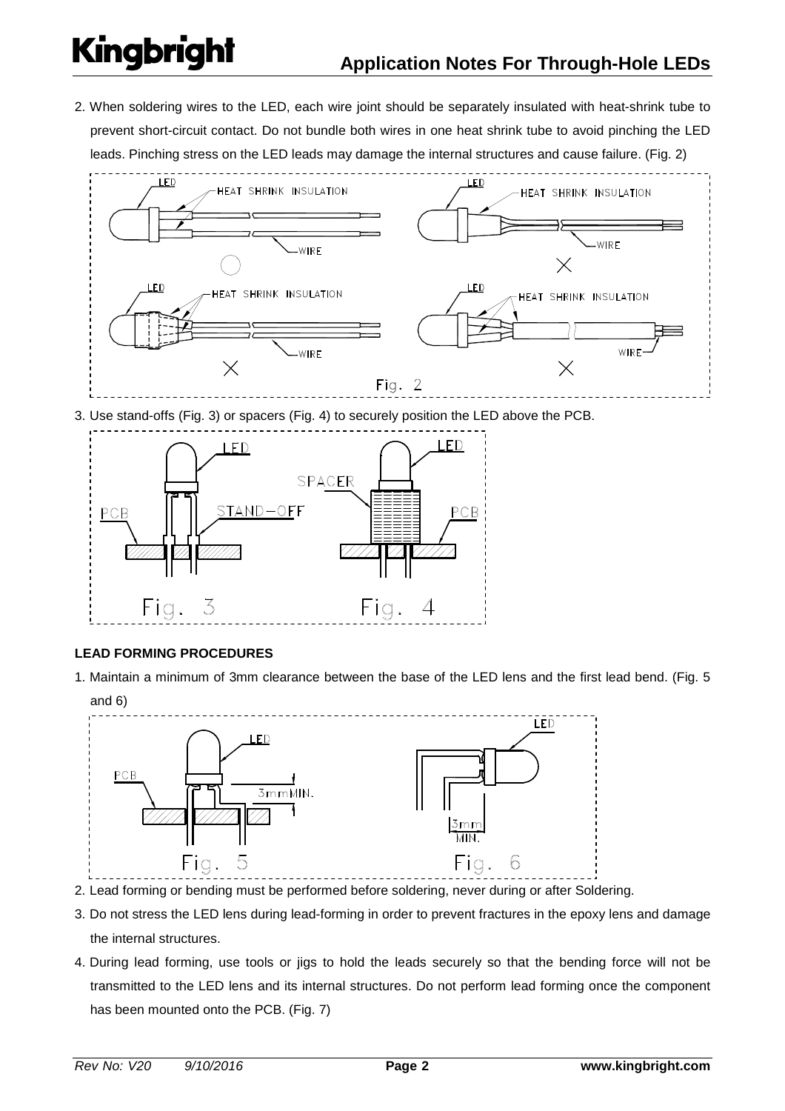2. When soldering wires to the LED, each wire joint should be separately insulated with heat-shrink tube to prevent short-circuit contact. Do not bundle both wires in one heat shrink tube to avoid pinching the LED leads. Pinching stress on the LED leads may damage the internal structures and cause failure. (Fig. 2)



3. Use stand-offs (Fig. 3) or spacers (Fig. 4) to securely position the LED above the PCB.



## **LEAD FORMING PROCEDURES**

1. Maintain a minimum of 3mm clearance between the base of the LED lens and the first lead bend. (Fig. 5



- 2. Lead forming or bending must be performed before soldering, never during or after Soldering.
- 3. Do not stress the LED lens during lead-forming in order to prevent fractures in the epoxy lens and damage the internal structures.
- 4. During lead forming, use tools or jigs to hold the leads securely so that the bending force will not be transmitted to the LED lens and its internal structures. Do not perform lead forming once the component has been mounted onto the PCB. (Fig. 7)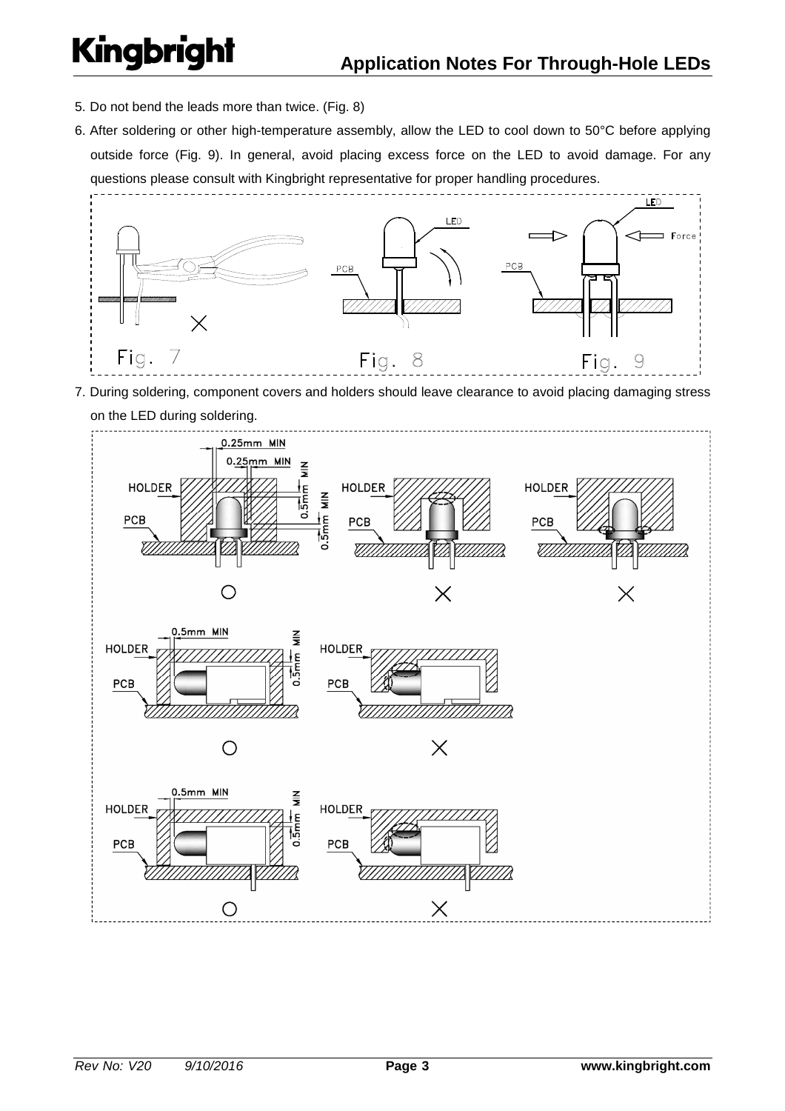- 5. Do not bend the leads more than twice. (Fig. 8)
- 6. After soldering or other high-temperature assembly, allow the LED to cool down to 50°C before applying outside force (Fig. 9). In general, avoid placing excess force on the LED to avoid damage. For any questions please consult with Kingbright representative for proper handling procedures.



7. During soldering, component covers and holders should leave clearance to avoid placing damaging stress

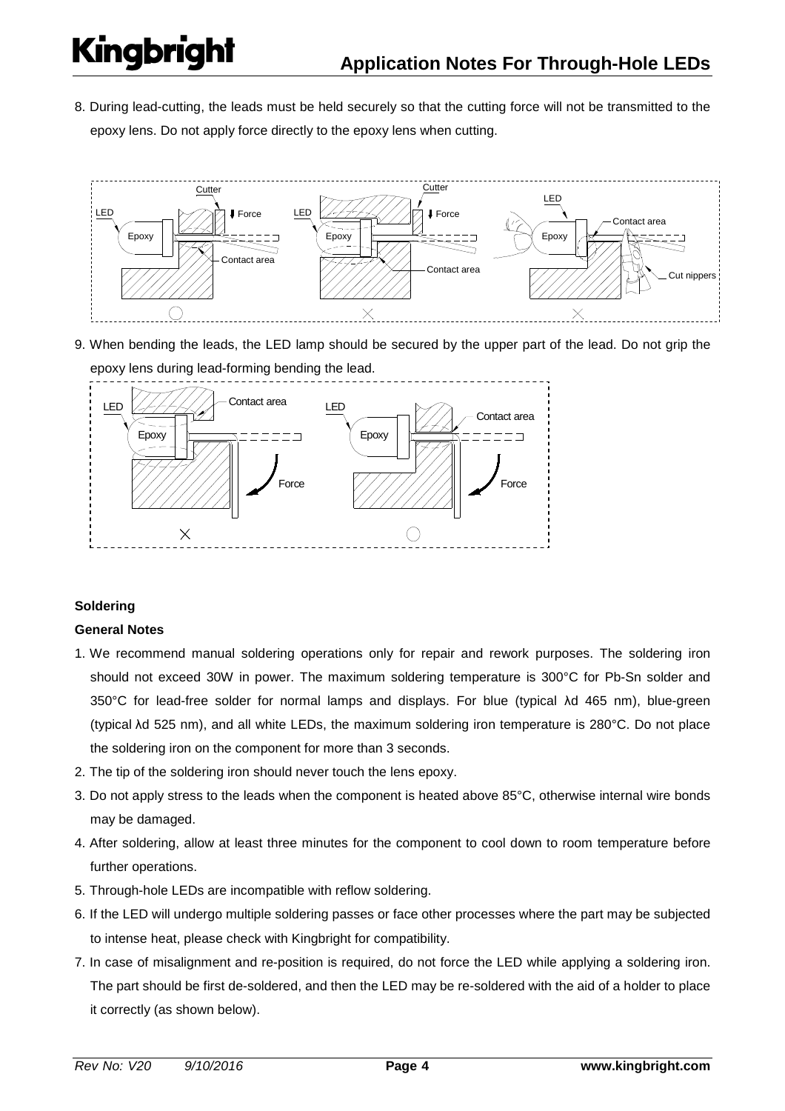8. During lead-cutting, the leads must be held securely so that the cutting force will not be transmitted to the epoxy lens. Do not apply force directly to the epoxy lens when cutting.



9. When bending the leads, the LED lamp should be secured by the upper part of the lead. Do not grip the epoxy lens during lead-forming bending the lead.



## **Soldering**

## **General Notes**

- 1. We recommend manual soldering operations only for repair and rework purposes. The soldering iron should not exceed 30W in power. The maximum soldering temperature is 300°C for Pb-Sn solder and 350°C for lead-free solder for normal lamps and displays. For blue (typical λd 465 nm), blue-green (typical λd 525 nm), and all white LEDs, the maximum soldering iron temperature is 280°C. Do not place the soldering iron on the component for more than 3 seconds.
- 2. The tip of the soldering iron should never touch the lens epoxy.
- 3. Do not apply stress to the leads when the component is heated above 85°C, otherwise internal wire bonds may be damaged.
- 4. After soldering, allow at least three minutes for the component to cool down to room temperature before further operations.
- 5. Through-hole LEDs are incompatible with reflow soldering.
- 6. If the LED will undergo multiple soldering passes or face other processes where the part may be subjected to intense heat, please check with Kingbright for compatibility.
- 7. In case of misalignment and re-position is required, do not force the LED while applying a soldering iron. The part should be first de-soldered, and then the LED may be re-soldered with the aid of a holder to place it correctly (as shown below).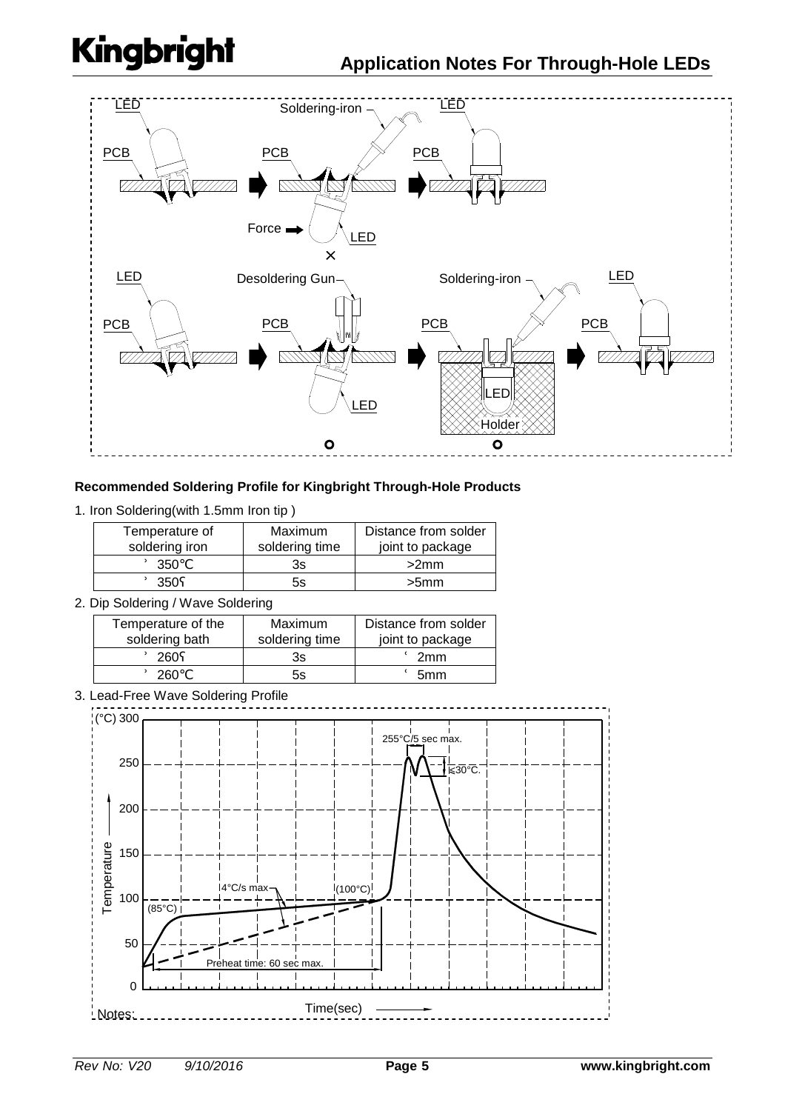

## **Recommended Soldering Profile for Kingbright Through-Hole Products**

1. Iron Soldering(with 1.5mm Iron tip )

| Temperature of<br>soldering iron | <b>Maximum</b><br>soldering time | Distance from solder<br>joint to package |
|----------------------------------|----------------------------------|------------------------------------------|
| 350                              | 3s                               | >2mm                                     |
| 350                              | 5s                               | >5mm                                     |

2. Dip Soldering / Wave Soldering

| Temperature of the | Maximum        | Distance from solder |
|--------------------|----------------|----------------------|
| soldering bath     | soldering time | joint to package     |
| 260                | 3s             | 2 <sub>mm</sub>      |
| 260                | 5s             | 5mm                  |

3. Lead-Free Wave Soldering Profile

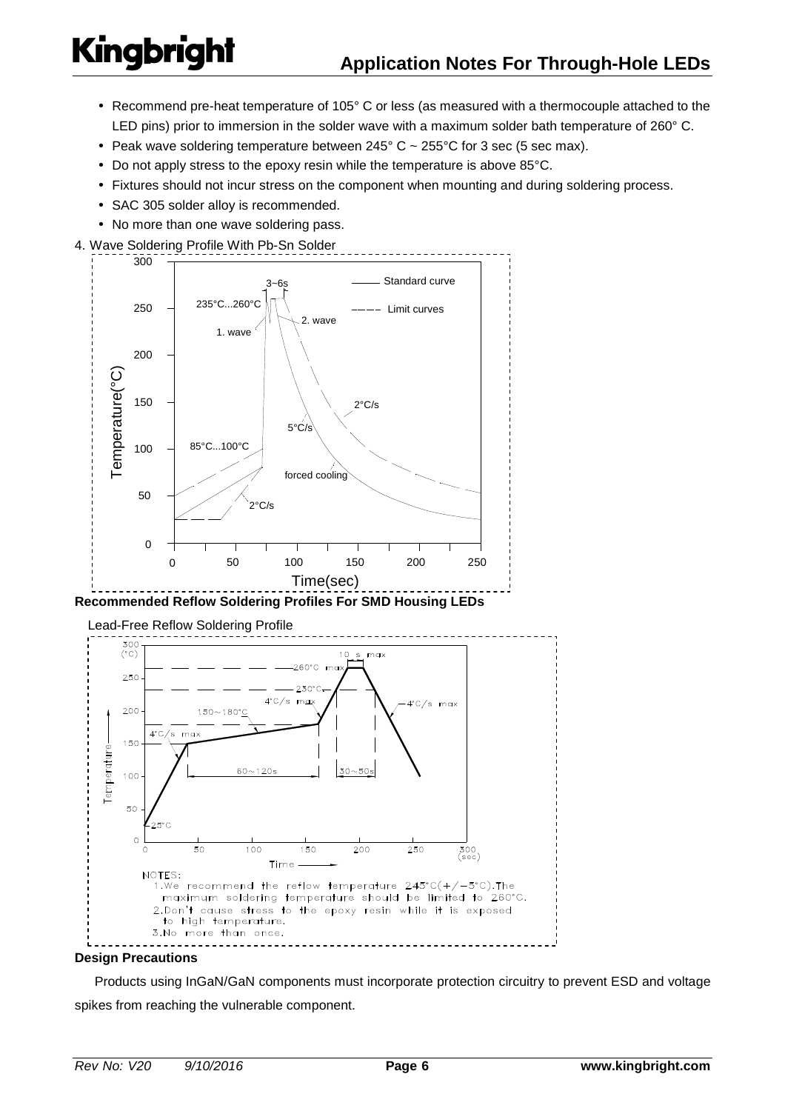- Recommend pre-heat temperature of 105° C or less (as measured with a thermocouple attached to the LED pins) prior to immersion in the solder wave with a maximum solder bath temperature of 260 $^{\circ}$  C.
- Peak wave soldering temperature between  $245^{\circ}$  C ~  $255^{\circ}$ C for 3 sec (5 sec max).
- Do not apply stress to the epoxy resin while the temperature is above 85°C.
- Fixtures should not incur stress on the component when mounting and during soldering process.
- SAC 305 solder alloy is recommended.
- No more than one wave soldering pass.
- 4. Wave Soldering Profile With Pb-Sn Solder





#### **Design Precautions**

 Products using InGaN/GaN components must incorporate protection circuitry to prevent ESD and voltage spikes from reaching the vulnerable component.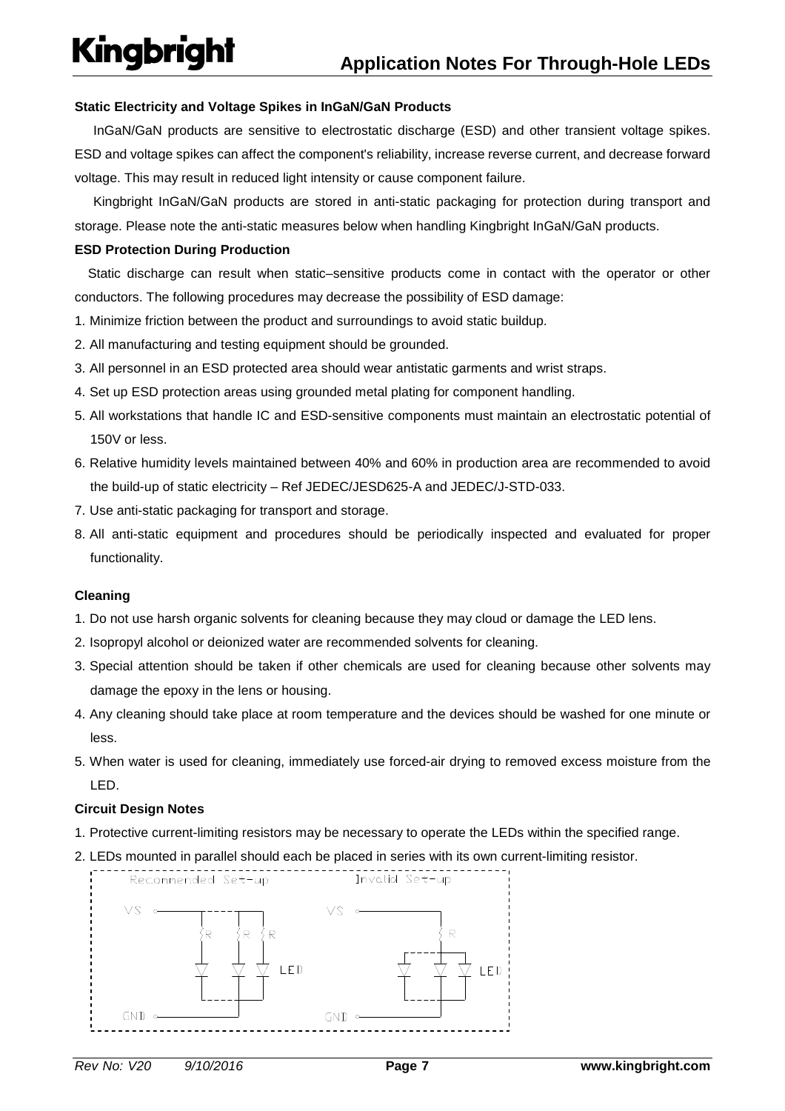## **Static Electricity and Voltage Spikes in InGaN/GaN Products**

InGaN/GaN products are sensitive to electrostatic discharge (ESD) and other transient voltage spikes. ESD and voltage spikes can affect the component's reliability, increase reverse current, and decrease forward voltage. This may result in reduced light intensity or cause component failure.

Kingbright InGaN/GaN products are stored in anti-static packaging for protection during transport and storage. Please note the anti-static measures below when handling Kingbright InGaN/GaN products.

### **ESD Protection During Production**

 Static discharge can result when static–sensitive products come in contact with the operator or other conductors. The following procedures may decrease the possibility of ESD damage:

- 1. Minimize friction between the product and surroundings to avoid static buildup.
- 2. All manufacturing and testing equipment should be grounded.
- 3. All personnel in an ESD protected area should wear antistatic garments and wrist straps.
- 4. Set up ESD protection areas using grounded metal plating for component handling.
- 5. All workstations that handle IC and ESD-sensitive components must maintain an electrostatic potential of 150V or less.
- 6. Relative humidity levels maintained between 40% and 60% in production area are recommended to avoid the build-up of static electricity – Ref JEDEC/JESD625-A and JEDEC/J-STD-033.
- 7. Use anti-static packaging for transport and storage.
- 8. All anti-static equipment and procedures should be periodically inspected and evaluated for proper functionality.

## **Cleaning**

- 1. Do not use harsh organic solvents for cleaning because they may cloud or damage the LED lens.
- 2. Isopropyl alcohol or deionized water are recommended solvents for cleaning.
- 3. Special attention should be taken if other chemicals are used for cleaning because other solvents may damage the epoxy in the lens or housing.
- 4. Any cleaning should take place at room temperature and the devices should be washed for one minute or less.
- 5. When water is used for cleaning, immediately use forced-air drying to removed excess moisture from the LED.

### **Circuit Design Notes**

- 1. Protective current-limiting resistors may be necessary to operate the LEDs within the specified range.
- 2. LEDs mounted in parallel should each be placed in series with its own current-limiting resistor.

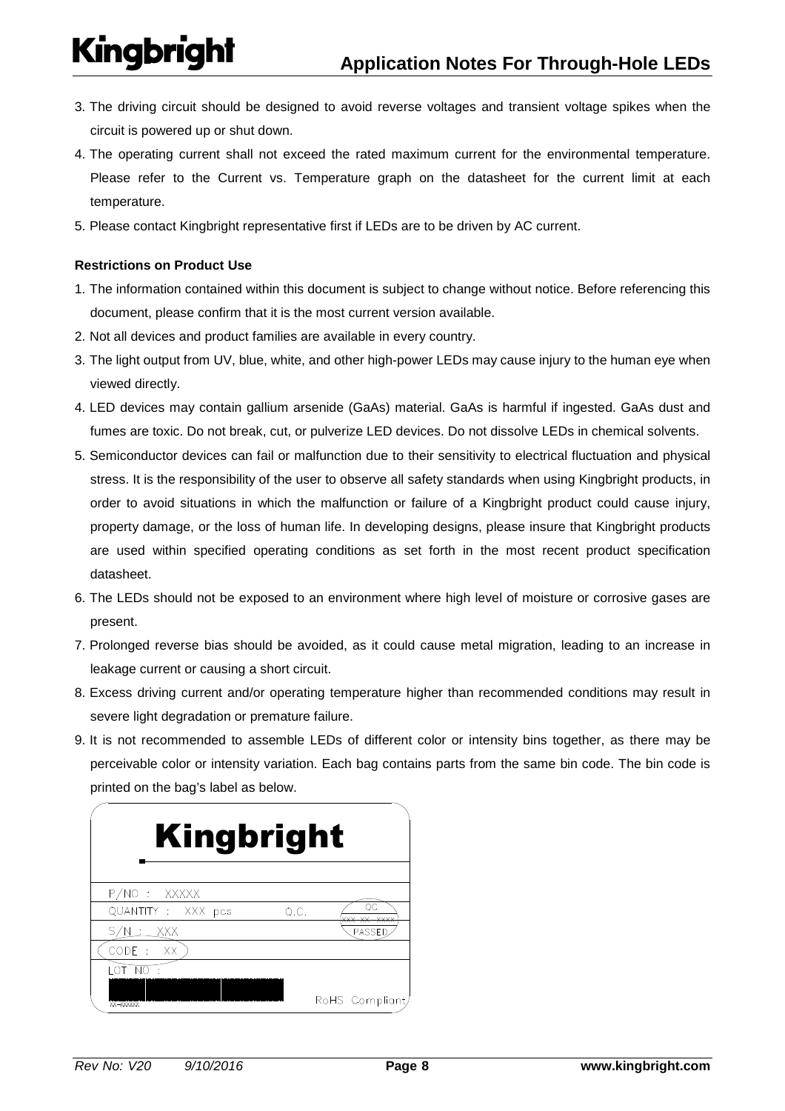- 3. The driving circuit should be designed to avoid reverse voltages and transient voltage spikes when the circuit is powered up or shut down.
- 4. The operating current shall not exceed the rated maximum current for the environmental temperature. Please refer to the Current vs. Temperature graph on the datasheet for the current limit at each temperature.
- 5. Please contact Kingbright representative first if LEDs are to be driven by AC current.

## **Restrictions on Product Use**

- 1. The information contained within this document is subject to change without notice. Before referencing this document, please confirm that it is the most current version available.
- 2. Not all devices and product families are available in every country.
- 3. The light output from UV, blue, white, and other high-power LEDs may cause injury to the human eye when viewed directly.
- 4. LED devices may contain gallium arsenide (GaAs) material. GaAs is harmful if ingested. GaAs dust and fumes are toxic. Do not break, cut, or pulverize LED devices. Do not dissolve LEDs in chemical solvents.
- 5. Semiconductor devices can fail or malfunction due to their sensitivity to electrical fluctuation and physical stress. It is the responsibility of the user to observe all safety standards when using Kingbright products, in order to avoid situations in which the malfunction or failure of a Kingbright product could cause injury, property damage, or the loss of human life. In developing designs, please insure that Kingbright products are used within specified operating conditions as set forth in the most recent product specification datasheet.
- 6. The LEDs should not be exposed to an environment where high level of moisture or corrosive gases are present.
- 7. Prolonged reverse bias should be avoided, as it could cause metal migration, leading to an increase in leakage current or causing a short circuit.
- 8. Excess driving current and/or operating temperature higher than recommended conditions may result in severe light degradation or premature failure.
- 9. It is not recommended to assemble LEDs of different color or intensity bins together, as there may be perceivable color or intensity variation. Each bag contains parts from the same bin code. The bin code is printed on the bag's label as below.

| <b>Kingbright</b>          |                |
|----------------------------|----------------|
| P/NO: XXXXX                |                |
| QUANTITY : XXX pcs<br>Q.C. |                |
| S/N : XXX                  | PASSED         |
| <b>XX</b>                  |                |
|                            |                |
| XX-XXXXXX                  | RoHS Compliant |